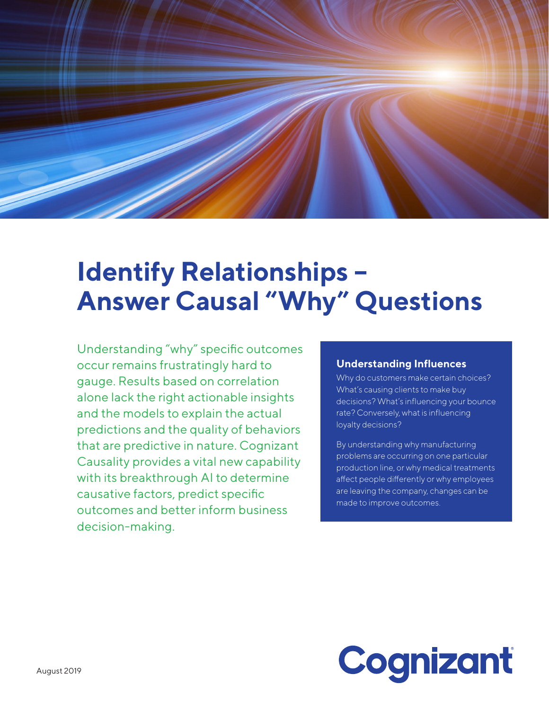

# **Identify Relationships – Answer Causal "Why" Questions**

Understanding "why" specific outcomes occur remains frustratingly hard to gauge. Results based on correlation alone lack the right actionable insights and the models to explain the actual predictions and the quality of behaviors that are predictive in nature. Cognizant Causality provides a vital new capability with its breakthrough AI to determine causative factors, predict specific outcomes and better inform business decision-making.

### **Understanding Influences**

Why do customers make certain choices? What's causing clients to make buy decisions? What's influencing your bounce rate? Conversely, what is influencing loyalty decisions?

By understanding why manufacturing problems are occurring on one particular production line, or why medical treatments affect people differently or why employees are leaving the company, changes can be made to improve outcomes.

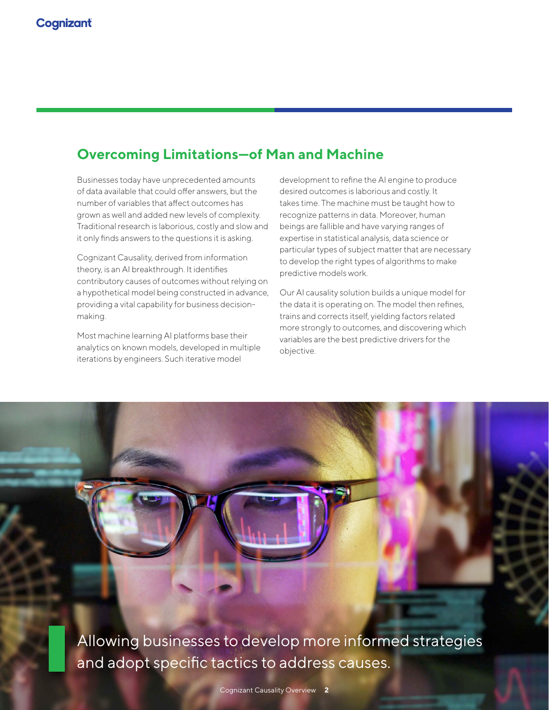### **Overcoming Limitations—of Man and Machine**

Businesses today have unprecedented amounts of data available that could offer answers, but the number of variables that affect outcomes has grown as well and added new levels of complexity. Traditional research is laborious, costly and slow and it only finds answers to the questions it is asking.

Cognizant Causality, derived from information theory, is an AI breakthrough. It identifies contributory causes of outcomes without relying on a hypothetical model being constructed in advance, providing a vital capability for business decisionmaking.

Most machine learning AI platforms base their analytics on known models, developed in multiple iterations by engineers. Such iterative model

development to refine the AI engine to produce desired outcomes is laborious and costly. It takes time. The machine must be taught how to recognize patterns in data. Moreover, human beings are fallible and have varying ranges of expertise in statistical analysis, data science or particular types of subject matter that are necessary to develop the right types of algorithms to make predictive models work.

Our AI causality solution builds a unique model for the data it is operating on. The model then refines, trains and corrects itself, yielding factors related more strongly to outcomes, and discovering which variables are the best predictive drivers for the objective.

Allowing businesses to develop more informed strategies and adopt specific tactics to address causes.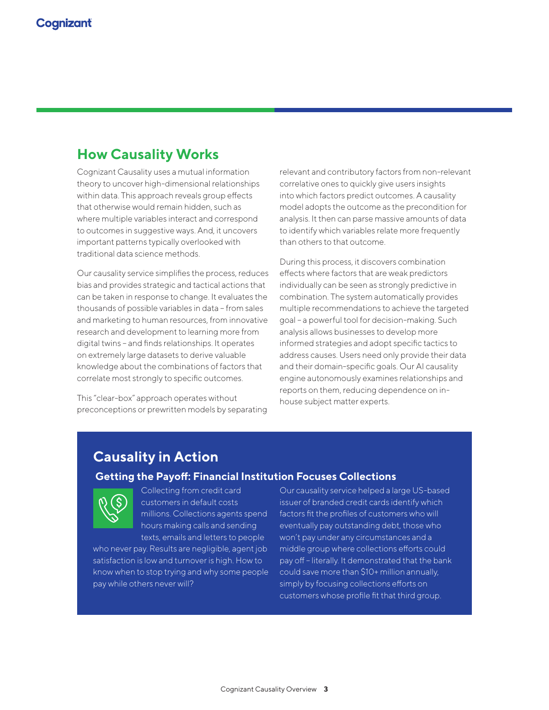### **How Causality Works**

Cognizant Causality uses a mutual information theory to uncover high-dimensional relationships within data. This approach reveals group effects that otherwise would remain hidden, such as where multiple variables interact and correspond to outcomes in suggestive ways. And, it uncovers important patterns typically overlooked with traditional data science methods.

Our causality service simplifies the process, reduces bias and provides strategic and tactical actions that can be taken in response to change. It evaluates the thousands of possible variables in data – from sales and marketing to human resources, from innovative research and development to learning more from digital twins – and finds relationships. It operates on extremely large datasets to derive valuable knowledge about the combinations of factors that correlate most strongly to specific outcomes.

This "clear-box" approach operates without preconceptions or prewritten models by separating relevant and contributory factors from non-relevant correlative ones to quickly give users insights into which factors predict outcomes. A causality model adopts the outcome as the precondition for analysis. It then can parse massive amounts of data to identify which variables relate more frequently than others to that outcome.

During this process, it discovers combination effects where factors that are weak predictors individually can be seen as strongly predictive in combination. The system automatically provides multiple recommendations to achieve the targeted goal – a powerful tool for decision-making. Such analysis allows businesses to develop more informed strategies and adopt specific tactics to address causes. Users need only provide their data and their domain-specific goals. Our AI causality engine autonomously examines relationships and reports on them, reducing dependence on inhouse subject matter experts.

### **Causality in Action**

#### **Getting the Payoff: Financial Institution Focuses Collections**



Collecting from credit card customers in default costs millions. Collections agents spend hours making calls and sending texts, emails and letters to people

who never pay. Results are negligible, agent job satisfaction is low and turnover is high. How to know when to stop trying and why some people pay while others never will?

Our causality service helped a large US-based issuer of branded credit cards identify which factors fit the profiles of customers who will eventually pay outstanding debt, those who won't pay under any circumstances and a middle group where collections efforts could pay off – literally. It demonstrated that the bank could save more than \$10+ million annually, simply by focusing collections efforts on customers whose profile fit that third group.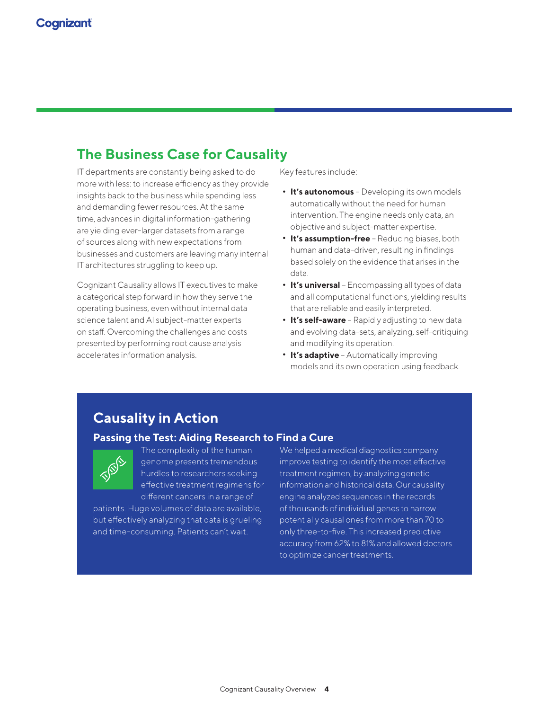### **The Business Case for Causality**

IT departments are constantly being asked to do more with less: to increase efficiency as they provide insights back to the business while spending less and demanding fewer resources. At the same time, advances in digital information-gathering are yielding ever-larger datasets from a range of sources along with new expectations from businesses and customers are leaving many internal IT architectures struggling to keep up.

Cognizant Causality allows IT executives to make a categorical step forward in how they serve the operating business, even without internal data science talent and AI subject-matter experts on staff. Overcoming the challenges and costs presented by performing root cause analysis accelerates information analysis.

Key features include:

- **• It's autonomous** Developing its own models automatically without the need for human intervention. The engine needs only data, an objective and subject-matter expertise.
- **• It's assumption-free** Reducing biases, both human and data-driven, resulting in findings based solely on the evidence that arises in the data.
- **• It's universal** Encompassing all types of data and all computational functions, yielding results that are reliable and easily interpreted.
- **• It's self-aware** Rapidly adjusting to new data and evolving data-sets, analyzing, self-critiquing and modifying its operation.
- **• It's adaptive** Automatically improving models and its own operation using feedback.

### **Causality in Action**

#### **Passing the Test: Aiding Research to Find a Cure**



The complexity of the human genome presents tremendous hurdles to researchers seeking effective treatment regimens for different cancers in a range of

patients. Huge volumes of data are available, but effectively analyzing that data is grueling and time-consuming. Patients can't wait.

We helped a medical diagnostics company improve testing to identify the most effective treatment regimen, by analyzing genetic information and historical data. Our causality engine analyzed sequences in the records of thousands of individual genes to narrow potentially causal ones from more than 70 to only three-to-five. This increased predictive accuracy from 62% to 81% and allowed doctors to optimize cancer treatments.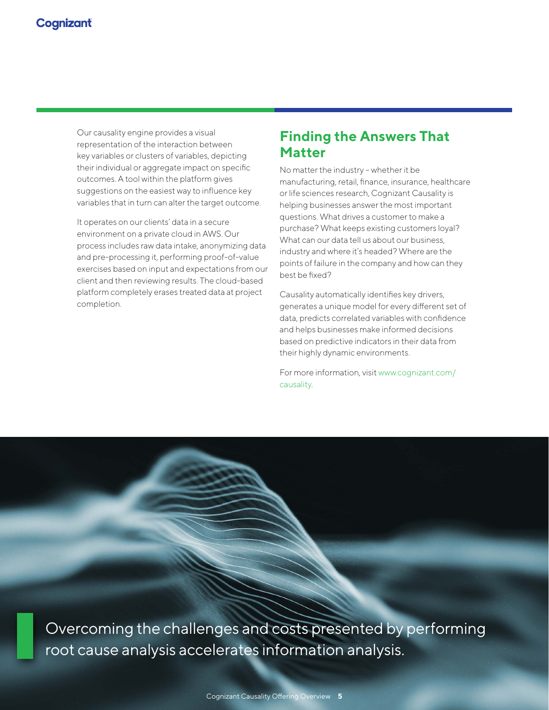Our causality engine provides a visual representation of the interaction between key variables or clusters of variables, depicting their individual or aggregate impact on specific outcomes. A tool within the platform gives suggestions on the easiest way to influence key variables that in turn can alter the target outcome.

It operates on our clients' data in a secure environment on a private cloud in AWS. Our process includes raw data intake, anonymizing data and pre-processing it, performing proof-of-value exercises based on input and expectations from our client and then reviewing results. The cloud-based platform completely erases treated data at project completion.

### **Finding the Answers That Matter**

No matter the industry – whether it be manufacturing, retail, finance, insurance, healthcare or life sciences research, Cognizant Causality is helping businesses answer the most important questions. What drives a customer to make a purchase? What keeps existing customers loyal? What can our data tell us about our business, industry and where it's headed? Where are the points of failure in the company and how can they best be fixed?

Causality automatically identifies key drivers, generates a unique model for every different set of data, predicts correlated variables with confidence and helps businesses make informed decisions based on predictive indicators in their data from their highly dynamic environments.

For more information, visit [www.cognizant.com/](http://www.cognizant.com/causality) [causality](http://www.cognizant.com/causality).

Overcoming the challenges and costs presented by performing root cause analysis accelerates information analysis.